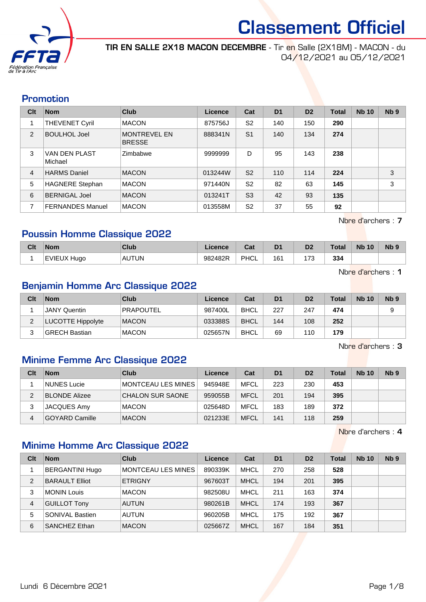

TIR EN SALLE 2X18 MACON DECEMBRE - Tir en Salle (2X18M) - MACON - du 04/12/2021 au 05/12/2021

#### Promotion

| Clt | <b>Nom</b>                      | Club                                 | Licence | Cat            | D <sub>1</sub> | D <sub>2</sub> | <b>Total</b> | <b>Nb 10</b> | N <sub>b</sub> <sub>9</sub> |
|-----|---------------------------------|--------------------------------------|---------|----------------|----------------|----------------|--------------|--------------|-----------------------------|
| 1   | <b>THEVENET Cyril</b>           | <b>MACON</b>                         | 875756J | S <sub>2</sub> | 140            | 150            | 290          |              |                             |
| 2   | <b>BOULHOL Joel</b>             | <b>MONTREVEL EN</b><br><b>BRESSE</b> | 888341N | S <sub>1</sub> | 140            | 134            | 274          |              |                             |
| 3   | <b>VAN DEN PLAST</b><br>Michael | Zimbabwe                             | 9999999 | D              | 95             | 143            | 238          |              |                             |
| 4   | <b>HARMS Daniel</b>             | <b>MACON</b>                         | 013244W | S <sub>2</sub> | 110            | 114            | 224          |              | 3                           |
| 5   | <b>HAGNERE Stephan</b>          | <b>MACON</b>                         | 971440N | S <sub>2</sub> | 82             | 63             | 145          |              | 3                           |
| 6   | <b>BERNIGAL Joel</b>            | <b>MACON</b>                         | 013241T | S <sub>3</sub> | 42             | 93             | 135          |              |                             |
| 7   | <b>FERNANDES Manuel</b>         | <b>MACON</b>                         | 013558M | S <sub>2</sub> | 37             | 55             | 92           |              |                             |

Nbre d'archers : 7

## Poussin Homme Classique 2022

| Clt | <b>Nom</b>         | <b>Club</b>  | Licence | <b>The State</b><br>val | D <sub>1</sub>                   | D <sub>2</sub>                     | Total | <b>Nb</b><br>10 | N <sub>b</sub> <sub>9</sub> |
|-----|--------------------|--------------|---------|-------------------------|----------------------------------|------------------------------------|-------|-----------------|-----------------------------|
|     | <b>EVIEUX Hugo</b> | <b>AUTUN</b> | 982482R | PHCL                    | 16 <sup>°</sup><br>$\sim$ $\sim$ | $\overline{\phantom{a}}$<br>$\sim$ | 334   |                 |                             |

Nbre d'archers : 1

### Benjamin Homme Arc Classique 2022

| Clt | <b>Nom</b>               | Club             | Licence | Cat         | D <sub>1</sub> | D <sub>2</sub> | Total | <b>Nb 10</b> | Nb <sub>9</sub> |
|-----|--------------------------|------------------|---------|-------------|----------------|----------------|-------|--------------|-----------------|
|     | ⊦JANY Quentin            | <b>PRAPOUTEL</b> | 987400L | <b>BHCL</b> | 227            | 247            | 474   |              |                 |
|     | <b>LUCOTTE Hippolyte</b> | <b>MACON</b>     | 033388S | <b>BHCL</b> | 144            | 108            | 252   |              |                 |
|     | GRECH Bastian            | <b>MACON</b>     | 025657N | <b>BHCL</b> | 69             | 110            | 179   |              |                 |

Nbre d'archers : 3

## Minime Femme Arc Classique 2022

| Clt | <b>Nom</b>            | Club                      | Licence | Cat         | D <sub>1</sub> | D <sub>2</sub> | <b>Total</b> | <b>Nb 10</b> | Nb <sub>9</sub> |
|-----|-----------------------|---------------------------|---------|-------------|----------------|----------------|--------------|--------------|-----------------|
|     | NUNES Lucie           | <b>MONTCEAU LES MINES</b> | 945948E | <b>MFCL</b> | 223            | 230            | 453          |              |                 |
| 2   | <b>BLONDE Alizee</b>  | <b>CHALON SUR SAONE</b>   | 959055B | <b>MFCL</b> | 201            | 194            | 395          |              |                 |
|     | <b>JACQUES Amy</b>    | <b>MACON</b>              | 025648D | <b>MFCL</b> | 183            | 189            | 372          |              |                 |
| 4   | <b>GOYARD Camille</b> | <b>MACON</b>              | 021233E | <b>MFCL</b> | 141            | 118            | 259          |              |                 |

Nbre d'archers : 4

## Minime Homme Arc Classique 2022

| Clt | <b>Nom</b>             | Club               | Licence | Cat         | D <sub>1</sub> | D <sub>2</sub> | <b>Total</b> | <b>Nb 10</b> | Nb <sub>9</sub> |
|-----|------------------------|--------------------|---------|-------------|----------------|----------------|--------------|--------------|-----------------|
|     | <b>BERGANTINI Hugo</b> | MONTCEAU LES MINES | 890339K | <b>MHCL</b> | 270            | 258            | 528          |              |                 |
| 2   | <b>BARAULT Elliot</b>  | <b>ETRIGNY</b>     | 967603T | <b>MHCL</b> | 194            | 201            | 395          |              |                 |
| 3   | <b>MONIN Louis</b>     | <b>MACON</b>       | 982508U | <b>MHCL</b> | 211            | 163            | 374          |              |                 |
| 4   | <b>GUILLOT Tony</b>    | <b>AUTUN</b>       | 980261B | <b>MHCL</b> | 174            | 193            | 367          |              |                 |
| 5   | SONIVAL Bastien        | <b>AUTUN</b>       | 960205B | MHCL        | 175            | 192            | 367          |              |                 |
| 6   | <b>SANCHEZ Ethan</b>   | <b>MACON</b>       | 025667Z | <b>MHCL</b> | 167            | 184            | 351          |              |                 |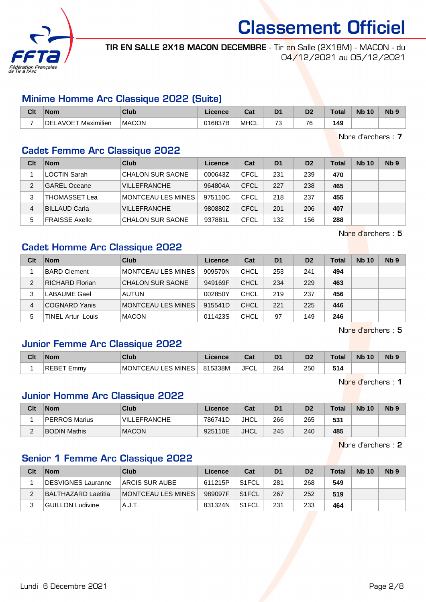

TIR EN SALLE 2X18 MACON DECEMBRE - Tir en Salle (2X18M) - MACON - du 04/12/2021 au 05/12/2021

### Minime Homme Arc Classique 2022 (Suite)

| Clt | <b>Nom</b>                      | Club         | ∟icence | <b>Dol</b><br>Ja: | D <sub>1</sub>                | D <sub>2</sub> | <b>Total</b> | <b>N<sub>b</sub></b><br>10 | N <sub>b</sub> <sub>9</sub> |
|-----|---------------------------------|--------------|---------|-------------------|-------------------------------|----------------|--------------|----------------------------|-----------------------------|
|     | Maximilien<br><b>IDELAVOET'</b> | <b>MACON</b> | 016837B | <b>MHCL</b>       | $\overline{\phantom{a}}$<br>ີ | 76             | 149          |                            |                             |

Nbre d'archers : 7

#### Cadet Femme Arc Classique 2022

| Clt           | <b>Nom</b>            | <b>Club</b>             | Licence | Cat  | D <sub>1</sub> | D <sub>2</sub> | Total | <b>Nb 10</b> | N <sub>b</sub> <sub>9</sub> |
|---------------|-----------------------|-------------------------|---------|------|----------------|----------------|-------|--------------|-----------------------------|
|               | <b>LOCTIN Sarah</b>   | <b>CHALON SUR SAONE</b> | 000643Z | CFCL | 231            | 239            | 470   |              |                             |
| $\mathcal{P}$ | <b>GAREL Oceane</b>   | <b>VILLEFRANCHE</b>     | 964804A | CFCL | 227            | 238            | 465   |              |                             |
| 3             | THOMASSET Lea         | MONTCEAU LES MINES      | 975110C | CFCL | 218            | 237            | 455   |              |                             |
| 4             | <b>BILLAUD Carla</b>  | <b>VILLEFRANCHE</b>     | 980880Z | CFCL | 201            | 206            | 407   |              |                             |
| 5             | <b>FRAISSE Axelle</b> | <b>CHALON SUR SAONE</b> | 937881L | CFCL | 132            | 156            | 288   |              |                             |

Nbre d'archers : 5

## Cadet Homme Arc Classique 2022

| Clt | <b>Nom</b>               | Club                    | Licence | Cat         | D <sub>1</sub> | D <sub>2</sub> | <b>Total</b> | <b>Nb 10</b> | N <sub>b</sub> <sub>9</sub> |
|-----|--------------------------|-------------------------|---------|-------------|----------------|----------------|--------------|--------------|-----------------------------|
|     | <b>BARD Clement</b>      | MONTCEAU LES MINES      | 909570N | CHCL        | 253            | 241            | 494          |              |                             |
| 2   | <b>RICHARD Florian</b>   | <b>CHALON SUR SAONE</b> | 949169F | <b>CHCL</b> | 234            | 229            | 463          |              |                             |
| 3   | <b>LABAUME Gael</b>      | <b>AUTUN</b>            | 002850Y | <b>CHCL</b> | 219            | 237            | 456          |              |                             |
| 4   | <b>COGNARD Yanis</b>     | MONTCEAU LES MINES      | 915541D | <b>CHCL</b> | 221            | 225            | 446          |              |                             |
| 5   | <b>TINEL Artur Louis</b> | <b>MACON</b>            | 011423S | <b>CHCL</b> | 97             | 149            | 246          |              |                             |

Nbre d'archers : 5

## Junior Femme Arc Classique 2022

| Clt | <b>Nom</b>              | Club                                                | Licence | יפ<br>⊍a   | D <sub>1</sub> | D <sub>2</sub> | <b>Total</b> | <b>Nb</b><br>10 | <b>Nb</b> |
|-----|-------------------------|-----------------------------------------------------|---------|------------|----------------|----------------|--------------|-----------------|-----------|
|     | <b>RE</b><br>Emmy<br>BЕ | <b>MINES</b><br>ES 1<br><b>MONT</b><br>∵⊢Ali.<br>ᄂᄂ | 815338M | JFC'<br>◡∟ | 264            | 250            |              |                 |           |

Nbre d'archers : 1

#### Junior Homme Arc Classique 2022

| Clt      | <b>Nom</b>          | Club                | Licence | Cat         | D <sub>1</sub> | D <sub>2</sub> | Total | <b>Nb 10</b> | N <sub>b</sub> <sub>9</sub> |
|----------|---------------------|---------------------|---------|-------------|----------------|----------------|-------|--------------|-----------------------------|
|          | PERROS Marius       | <b>VILLEFRANCHE</b> | 786741D | JHCL        | 266            | 265            | 531   |              |                             |
| $\Omega$ | <b>BODIN Mathis</b> | <b>MACON</b>        | 925110E | <b>JHCL</b> | 245            | 240            | 485   |              |                             |

Nbre d'archers : 2

## Senior 1 Femme Arc Classique 2022

| Clt | <b>Nom</b>          | Club                      | Licence | Cat                | D <sub>1</sub> | D <sub>2</sub> | <b>Total</b> | <b>Nb 10</b> | N <sub>b</sub> <sub>9</sub> |
|-----|---------------------|---------------------------|---------|--------------------|----------------|----------------|--------------|--------------|-----------------------------|
|     | DESVIGNES Lauranne  | ARCIS SUR AUBE            | 611215P | S <sub>1</sub> FCL | 281            | 268            | 549          |              |                             |
|     | BALTHAZARD Laetitia | <b>MONTCEAU LES MINES</b> | 989097F | S <sub>1</sub> FCL | 267            | 252            | 519          |              |                             |
|     | GUILLON Ludivine    | A.J.T.                    | 831324N | S <sub>1</sub> FCL | 231            | 233            | 464          |              |                             |

Lundi 6 Décembre 2021 **Page 2/8**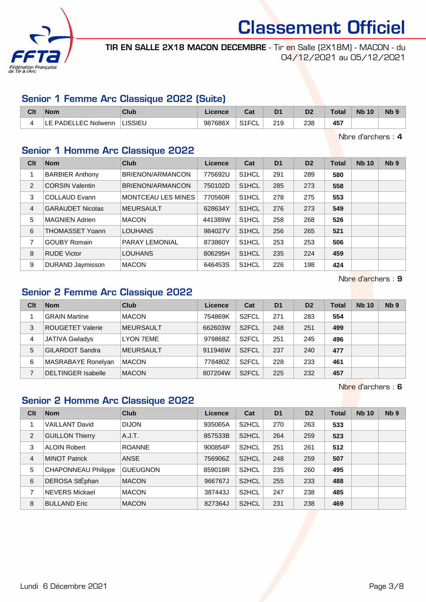

TIR EN SALLE 2X18 MACON DECEMBRE - Tir en Salle (2X18M) - MACON - du 04/12/2021 au 05/12/2021

## Senior 1 Femme Arc Classique 2022 (Suite)

| Clt | <b>Nom</b>                  | Club    | Licence | ⊶ ∼<br>ua                     | D <sub>1</sub> | D2  | <b>Total</b> | <b>Nb 10</b> | N <sub>b</sub> 9 |
|-----|-----------------------------|---------|---------|-------------------------------|----------------|-----|--------------|--------------|------------------|
|     | <b>ILE PADELLEC Nolwenn</b> | LISSIEU | 987686X | <b>91 ECI</b><br>∙∪L<br>ا ا ت | 219            | 238 | 457          |              |                  |

Nbre d'archers : 4

## Senior 1 Homme Arc Classique 2022

| Clt | <b>Nom</b>              | <b>Club</b>               | <b>Licence</b> | Cat                | D <sub>1</sub> | D <sub>2</sub> | Total | <b>Nb 10</b> | Nb <sub>9</sub> |
|-----|-------------------------|---------------------------|----------------|--------------------|----------------|----------------|-------|--------------|-----------------|
|     | <b>BARBIER Anthony</b>  | BRIENON/ARMANCON          | 775692U        | S <sub>1</sub> HCL | 291            | 289            | 580   |              |                 |
| 2   | <b>CORSIN Valentin</b>  | BRIENON/ARMANCON          | 750102D        | S <sub>1</sub> HCL | 285            | 273            | 558   |              |                 |
| 3   | <b>COLLAUD Evann</b>    | <b>MONTCEAU LES MINES</b> | 770560R        | S <sub>1</sub> HCL | 278            | 275            | 553   |              |                 |
| 4   | <b>GARAUDET Nicolas</b> | <b>MEURSAULT</b>          | 628634Y        | S <sub>1</sub> HCL | 276            | 273            | 549   |              |                 |
| 5   | <b>MAGNIEN Adrien</b>   | <b>MACON</b>              | 441389W        | S <sub>1</sub> HCL | 258            | 268            | 526   |              |                 |
| 6   | <b>THOMASSET Yoann</b>  | <b>LOUHANS</b>            | 984027V        | S <sub>1</sub> HCL | 256            | 265            | 521   |              |                 |
| 7   | <b>GOUBY Romain</b>     | PARAY LEMONIAL            | 873860Y        | S <sub>1</sub> HCL | 253            | 253            | 506   |              |                 |
| 8   | <b>RUDE Victor</b>      | <b>LOUHANS</b>            | 806295H        | S <sub>1</sub> HCL | 235            | 224            | 459   |              |                 |
| 9   | <b>DURAND Jaymisson</b> | <b>MACON</b>              | 646453S        | S <sub>1</sub> HCL | 226            | 198            | 424   |              |                 |

Nbre d'archers : 9

## Senior 2 Femme Arc Classique 2022

| Clt | <b>Nom</b>                | Club             | Licence | Cat                | D <sub>1</sub> | D <sub>2</sub> | <b>Total</b> | <b>Nb 10</b> | Nb <sub>9</sub> |
|-----|---------------------------|------------------|---------|--------------------|----------------|----------------|--------------|--------------|-----------------|
|     | <b>GRAIN Martine</b>      | <b>MACON</b>     | 754869K | S <sub>2</sub> FCL | 271            | 283            | 554          |              |                 |
| 3   | <b>ROUGETET Valerie</b>   | <b>MEURSAULT</b> | 662603W | S <sub>2</sub> FCL | 248            | 251            | 499          |              |                 |
| 4   | <b>JATIVA Gwladys</b>     | <b>LYON 7EME</b> | 979868Z | S <sub>2</sub> FCL | 251            | 245            | 496          |              |                 |
| 5   | <b>GILARDOT Sandra</b>    | <b>MEURSAULT</b> | 911946W | S <sub>2</sub> FCL | 237            | 240            | 477          |              |                 |
| 6   | MASRABAYE Ronelyan        | <b>MACON</b>     | 778480Z | S <sub>2</sub> FCL | 228            | 233            | 461          |              |                 |
|     | <b>DELTINGER Isabelle</b> | <b>MACON</b>     | 807204W | S <sub>2</sub> FCL | 225            | 232            | 457          |              |                 |

Nbre d'archers : 6

## Senior 2 Homme Arc Classique 2022

| Clt | <b>Nom</b>                 | <b>Club</b>     | Licence | Cat                | D <sub>1</sub> | D <sub>2</sub> | Total | <b>Nb 10</b> | Nb <sub>9</sub> |
|-----|----------------------------|-----------------|---------|--------------------|----------------|----------------|-------|--------------|-----------------|
|     | <b>VAILLANT David</b>      | <b>DIJON</b>    | 935065A | S2HCL              | 270            | 263            | 533   |              |                 |
| 2   | <b>GUILLON Thierry</b>     | A.J.T.          | 857533B | S2HCL              | 264            | 259            | 523   |              |                 |
| 3   | <b>ALOIN Robert</b>        | <b>ROANNE</b>   | 900854P | S <sub>2</sub> HCL | 251            | 261            | 512   |              |                 |
| 4   | <b>MINOT Patrick</b>       | <b>ANSE</b>     | 756906Z | S <sub>2</sub> HCL | 248            | 259            | 507   |              |                 |
| 5   | <b>CHAPONNEAU Philippe</b> | <b>GUEUGNON</b> | 859018R | S <sub>2</sub> HCL | 235            | 260            | 495   |              |                 |
| 6   | DEROSA StÉphan             | <b>MACON</b>    | 966767J | S <sub>2</sub> HCL | 255            | 233            | 488   |              |                 |
| 7   | NEVERS Mickael             | <b>MACON</b>    | 387443J | S <sub>2</sub> HCL | 247            | 238            | 485   |              |                 |
| 8   | <b>BULLAND Eric</b>        | <b>MACON</b>    | 827364J | S <sub>2</sub> HCL | 231            | 238            | 469   |              |                 |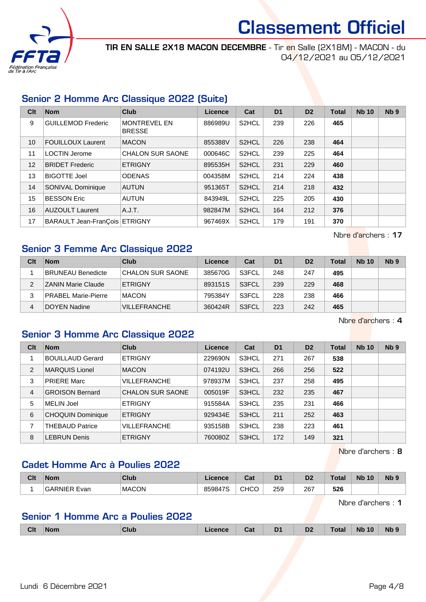

TIR EN SALLE 2X18 MACON DECEMBRE - Tir en Salle (2X18M) - MACON - du 04/12/2021 au 05/12/2021

## Senior 2 Homme Arc Classique 2022 (Suite)

| Clt | <b>Nom</b>                    | <b>Club</b>                          | Licence | Cat                | D <sub>1</sub> | D <sub>2</sub> | <b>Total</b> | <b>Nb 10</b> | Nb <sub>9</sub> |
|-----|-------------------------------|--------------------------------------|---------|--------------------|----------------|----------------|--------------|--------------|-----------------|
| 9   | <b>GUILLEMOD Frederic</b>     | <b>MONTREVEL EN</b><br><b>BRESSE</b> | 886989U | S <sub>2</sub> HCL | 239            | 226            | 465          |              |                 |
| 10  | <b>FOUILLOUX Laurent</b>      | <b>MACON</b>                         | 855388V | S <sub>2</sub> HCL | 226            | 238            | 464          |              |                 |
| 11  | <b>LOCTIN Jerome</b>          | <b>CHALON SUR SAONE</b>              | 000646C | S2HCL              | 239            | 225            | 464          |              |                 |
| 12  | <b>BRIDET Frederic</b>        | <b>ETRIGNY</b>                       | 895535H | S <sub>2</sub> HCL | 231            | 229            | 460          |              |                 |
| 13  | <b>BIGOTTE Joel</b>           | <b>ODENAS</b>                        | 004358M | S <sub>2</sub> HCL | 214            | 224            | 438          |              |                 |
| 14  | <b>SONIVAL Dominique</b>      | <b>AUTUN</b>                         | 951365T | S <sub>2</sub> HCL | 214            | 218            | 432          |              |                 |
| 15  | <b>BESSON Eric</b>            | <b>AUTUN</b>                         | 843949L | S <sub>2</sub> HCL | 225            | 205            | 430          |              |                 |
| 16  | <b>AUZOULT Laurent</b>        | A.J.T.                               | 982847M | S <sub>2</sub> HCL | 164            | 212            | 376          |              |                 |
| 17  | BARAULT Jean-FranÇois ETRIGNY |                                      | 967469X | S2HCL              | 179            | 191            | 370          |              |                 |

Nbre d'archers : 17

## Senior 3 Femme Arc Classique 2022

| Clt | <b>Nom</b>                 | Club                | Licence | Cat   | D <sub>1</sub> | D <sub>2</sub> | <b>Total</b> | <b>Nb 10</b> | Nb <sub>9</sub> |
|-----|----------------------------|---------------------|---------|-------|----------------|----------------|--------------|--------------|-----------------|
|     | <b>BRUNEAU Benedicte</b>   | CHALON SUR SAONE    | 385670G | S3FCL | 248            | 247            | 495          |              |                 |
| 2   | <b>ZANIN Marie Claude</b>  | <b>ETRIGNY</b>      | 893151S | S3FCL | 239            | 229            | 468          |              |                 |
| 3   | <b>PRABEL Marie-Pierre</b> | <b>MACON</b>        | 795384Y | S3FCL | 228            | 238            | 466          |              |                 |
| 4   | DOYEN Nadine               | <b>VILLEFRANCHE</b> | 360424R | S3FCL | 223            | 242            | 465          |              |                 |

Nbre d'archers : 4

## Senior 3 Homme Arc Classique 2022

| Clt | <b>Nom</b>               | Club                    | Licence | Cat   | D <sub>1</sub> | D <sub>2</sub> | <b>Total</b> | <b>Nb 10</b> | Nb <sub>9</sub> |
|-----|--------------------------|-------------------------|---------|-------|----------------|----------------|--------------|--------------|-----------------|
|     | <b>BOUILLAUD Gerard</b>  | <b>ETRIGNY</b>          | 229690N | S3HCL | 271            | 267            | 538          |              |                 |
| 2   | <b>MARQUIS Lionel</b>    | <b>MACON</b>            | 074192U | S3HCL | 266            | 256            | 522          |              |                 |
| 3   | <b>PRIERE Marc</b>       | <b>VILLEFRANCHE</b>     | 978937M | S3HCL | 237            | 258            | 495          |              |                 |
| 4   | <b>GROISON Bernard</b>   | <b>CHALON SUR SAONE</b> | 005019F | S3HCL | 232            | 235            | 467          |              |                 |
| 5   | <b>MELIN Joel</b>        | <b>ETRIGNY</b>          | 915584A | S3HCL | 235            | 231            | 466          |              |                 |
| 6   | <b>CHOQUIN Dominique</b> | <b>ETRIGNY</b>          | 929434E | S3HCL | 211            | 252            | 463          |              |                 |
| 7   | <b>THEBAUD Patrice</b>   | VILLEFRANCHE            | 935158B | S3HCL | 238            | 223            | 461          |              |                 |
| 8   | <b>LEBRUN Denis</b>      | <b>ETRIGNY</b>          | 760080Z | S3HCL | 172            | 149            | 321          |              |                 |

Nbre d'archers : 8

## Cadet Homme Arc à Poulies 2022

| Clt | <b>Nom</b>          | <b>Club</b>  | ∟icence | Cat         | D <sub>1</sub> | D <sub>2</sub> | <b>Total</b> | <b>N<sub>b</sub></b><br>10 | N <sub>b</sub> <sub>9</sub> |
|-----|---------------------|--------------|---------|-------------|----------------|----------------|--------------|----------------------------|-----------------------------|
|     | <b>GARNIER Evan</b> | <b>MACON</b> | 859847S | <b>CHCO</b> | 259            | 267            | 526          |                            |                             |

Nbre d'archers : 1

## Senior 1 Homme Arc a Poulies 2022

|  | <b>Clt</b> | <b>Nom</b> | Club | icence | Cat | D <sub>1</sub> | D <sub>2</sub> | <b>Total</b> | 10<br><b>Nb</b> | Nb s |
|--|------------|------------|------|--------|-----|----------------|----------------|--------------|-----------------|------|
|--|------------|------------|------|--------|-----|----------------|----------------|--------------|-----------------|------|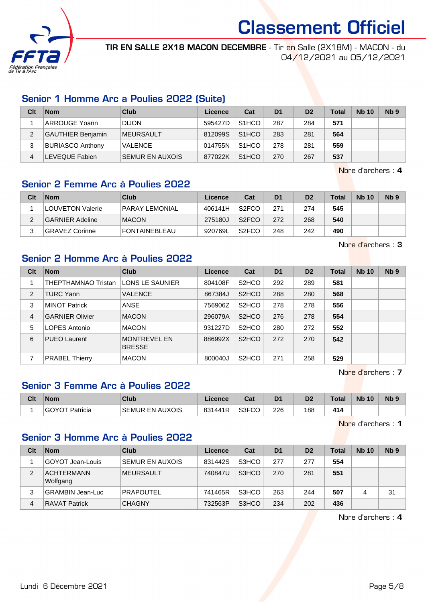

TIR EN SALLE 2X18 MACON DECEMBRE - Tir en Salle (2X18M) - MACON - du 04/12/2021 au 05/12/2021

## Senior 1 Homme Arc a Poulies 2022 (Suite)

| Clt | <b>Nom</b>               | Club                   | Licence | Cat                | D <sub>1</sub> | D <sub>2</sub> | <b>Total</b> | <b>Nb 10</b> | N <sub>b</sub> <sub>9</sub> |
|-----|--------------------------|------------------------|---------|--------------------|----------------|----------------|--------------|--------------|-----------------------------|
|     | <b>ARROUGE Yoann</b>     | <b>DIJON</b>           | 595427D | S <sub>1</sub> HCO | 287            | 284            | 571          |              |                             |
|     | <b>GAUTHIER Benjamin</b> | <b>IMEURSAULT</b>      | 812099S | S <sub>1</sub> HCO | 283            | 281            | 564          |              |                             |
|     | <b>BURIASCO Anthony</b>  | <b>VALENCE</b>         | 014755N | S <sub>1</sub> HCO | 278            | 281            | 559          |              |                             |
| 4   | LEVEQUE Fabien           | <b>SEMUR EN AUXOIS</b> | 877022K | S <sub>1</sub> HCO | 270            | 267            | 537          |              |                             |

Nbre d'archers : 4

## Senior 2 Femme Arc à Poulies 2022

| Clt | <b>Nom</b>             | Club                  | Licence | Cat                | D <sub>1</sub> | D <sub>2</sub> | <b>Total</b> | <b>Nb 10</b> | N <sub>b</sub> <sub>9</sub> |
|-----|------------------------|-----------------------|---------|--------------------|----------------|----------------|--------------|--------------|-----------------------------|
|     | LOUVETON Valerie       | <b>PARAY LEMONIAL</b> | 406141H | S <sub>2</sub> FCO | 271            | 274            | 545          |              |                             |
|     | <b>GARNIER Adeline</b> | <b>MACON</b>          | 275180J | S <sub>2</sub> FCO | 272            | 268            | 540          |              |                             |
| ົ   | <b>GRAVEZ Corinne</b>  | <b>FONTAINEBLEAU</b>  | 920769L | S <sub>2</sub> FCO | 248            | 242            | 490          |              |                             |

Nbre d'archers : 3

## Senior 2 Homme Arc à Poulies 2022

| Clt            | <b>Nom</b>             | Club                                 | Licence | Cat                | D <sub>1</sub> | D <sub>2</sub> | <b>Total</b> | <b>Nb 10</b> | N <sub>b</sub> <sub>9</sub> |
|----------------|------------------------|--------------------------------------|---------|--------------------|----------------|----------------|--------------|--------------|-----------------------------|
|                | THEPTHAMNAO Tristan    | LONS LE SAUNIER                      | 804108F | S <sub>2</sub> HCO | 292            | 289            | 581          |              |                             |
| 2              | <b>TURC Yann</b>       | <b>VALENCE</b>                       | 867384J | S <sub>2</sub> HCO | 288            | 280            | 568          |              |                             |
| 3              | <b>MINOT Patrick</b>   | ANSE                                 | 756906Z | S <sub>2</sub> HCO | 278            | 278            | 556          |              |                             |
| $\overline{4}$ | <b>GARNIER Olivier</b> | <b>MACON</b>                         | 296079A | S <sub>2</sub> HCO | 276            | 278            | 554          |              |                             |
| 5              | LOPES Antonio          | <b>MACON</b>                         | 931227D | S <sub>2</sub> HCO | 280            | 272            | 552          |              |                             |
| 6              | <b>PUEO Laurent</b>    | <b>MONTREVEL EN</b><br><b>BRESSE</b> | 886992X | S <sub>2</sub> HCO | 272            | 270            | 542          |              |                             |
| 7              | <b>PRABEL Thierry</b>  | <b>MACON</b>                         | 800040J | S <sub>2</sub> HCO | 271            | 258            | 529          |              |                             |

Nbre d'archers : 7

## Senior 3 Femme Arc à Poulies 2022

| Clt | <b>Nom</b>     | Club                   | Licence | ◠ឹ៶<br>udl   | D1  | D2  | Total | <b>N<sub>b</sub></b><br>10 | N <sub>b</sub> <sub>9</sub> |
|-----|----------------|------------------------|---------|--------------|-----|-----|-------|----------------------------|-----------------------------|
|     | Patricia<br>ΛV | <b>SEMUR EN AUXOIS</b> | 831441R | S3FCO<br>−∪∪ | 226 | 188 | 414   |                            |                             |

Nbre d'archers : 1

### Senior 3 Homme Arc à Poulies 2022

| Clt | <b>Nom</b>                    | Club                   | Licence | Cat   | D <sub>1</sub> | D <sub>2</sub> | <b>Total</b> | <b>Nb 10</b> | N <sub>b</sub> <sub>9</sub> |
|-----|-------------------------------|------------------------|---------|-------|----------------|----------------|--------------|--------------|-----------------------------|
|     | GOYOT Jean-Louis              | <b>SEMUR EN AUXOIS</b> | 831442S | S3HCO | 277            | 277            | 554          |              |                             |
| 2   | <b>ACHTERMANN</b><br>Wolfgang | <b>IMEURSAULT</b>      | 740847U | S3HCO | 270            | 281            | 551          |              |                             |
| 3   | GRAMBIN Jean-Luc              | <b>PRAPOUTEL</b>       | 741465R | S3HCO | 263            | 244            | 507          |              | 31                          |
| 4   | <b>RAVAT Patrick</b>          | <b>CHAGNY</b>          | 732563P | S3HCO | 234            | 202            | 436          |              |                             |

Nbre d'archers : 4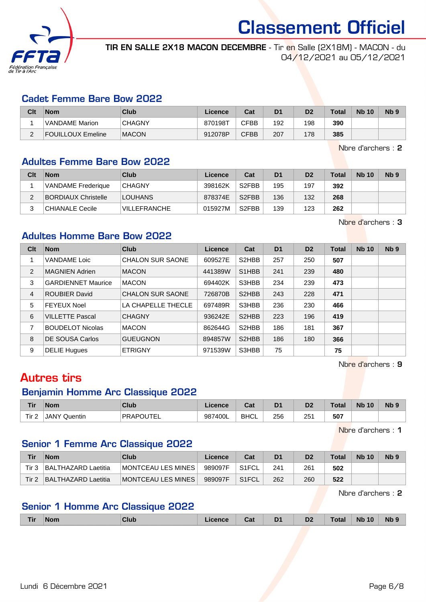

TIR EN SALLE 2X18 MACON DECEMBRE - Tir en Salle (2X18M) - MACON - du 04/12/2021 au 05/12/2021

#### Cadet Femme Bare Bow 2022

| Clt      | <b>Nom</b>            | Club          | Licence | Cat         | D <sub>1</sub> | D <sub>2</sub> | <b>Total</b> | <b>Nb 10</b> | Nb 9 |
|----------|-----------------------|---------------|---------|-------------|----------------|----------------|--------------|--------------|------|
|          | <b>VANDAME</b> Marion | <b>CHAGNY</b> | 870198T | <b>CFBB</b> | 192            | 198            | 390          |              |      |
| <u>.</u> | FOUILLOUX Emeline     | <b>MACON</b>  | 912078P | <b>CFBB</b> | 207            | 178            | 385          |              |      |

Nbre d'archers : 2

### Adultes Femme Bare Bow 2022

| Clt | <b>Nom</b>                 | Club                | Licence | Cat                | D <sub>1</sub> | D <sub>2</sub> | <b>Total</b> | <b>Nb 10</b> | N <sub>b</sub> <sub>9</sub> |
|-----|----------------------------|---------------------|---------|--------------------|----------------|----------------|--------------|--------------|-----------------------------|
|     | <b>VANDAME</b> Frederique  | <b>CHAGNY</b>       | 398162K | S <sub>2</sub> FBB | 195            | 197            | 392          |              |                             |
|     | <b>BORDIAUX Christelle</b> | <b>LOUHANS</b>      | 878374E | S <sub>2</sub> FBB | 136            | 132            | 268          |              |                             |
|     | CHIANALE Cecile            | <b>VILLEFRANCHE</b> | 015927M | S <sub>2</sub> FBB | 139            | 123            | 262          |              |                             |

Nbre d'archers : 3

## Adultes Homme Bare Bow 2022

| Clt | <b>Nom</b>                | <b>Club</b>             | Licence | Cat                             | D <sub>1</sub> | D <sub>2</sub> | <b>Total</b> | <b>Nb 10</b> | N <sub>b</sub> <sub>9</sub> |
|-----|---------------------------|-------------------------|---------|---------------------------------|----------------|----------------|--------------|--------------|-----------------------------|
|     | <b>VANDAME</b> Loic       | <b>CHALON SUR SAONE</b> | 609527E | S2HBB                           | 257            | 250            | 507          |              |                             |
| 2   | <b>MAGNIEN Adrien</b>     | <b>MACON</b>            | 441389W | S <sub>1</sub> H <sub>B</sub> B | 241            | 239            | 480          |              |                             |
| 3   | <b>GARDIENNET Maurice</b> | <b>MACON</b>            | 694402K | S3HBB                           | 234            | 239            | 473          |              |                             |
| 4   | <b>ROUBIER David</b>      | <b>CHALON SUR SAONE</b> | 726870B | S <sub>2</sub> HBB              | 243            | 228            | 471          |              |                             |
| 5   | <b>FEYEUX Noel</b>        | LA CHAPELLE THECLE      | 697489R | S3HBB                           | 236            | 230            | 466          |              |                             |
| 6   | <b>VILLETTE Pascal</b>    | <b>CHAGNY</b>           | 936242E | S2HBB                           | 223            | 196            | 419          |              |                             |
| 7   | <b>BOUDELOT Nicolas</b>   | <b>MACON</b>            | 862644G | S2HBB                           | 186            | 181            | 367          |              |                             |
| 8   | DE SOUSA Carlos           | <b>GUEUGNON</b>         | 894857W | S2HBB                           | 186            | 180            | 366          |              |                             |
| 9   | <b>DELIE Hugues</b>       | <b>ETRIGNY</b>          | 971539W | S3HBB                           | 75             |                | 75           |              |                             |

Nbre d'archers : 9

## Autres tirs

#### Benjamin Homme Arc Classique 2022

| Tir   | <b>Nom</b>      | Club      | icence       | ≏~∗<br>⊍a   | D <sup>1</sup> | n.<br>ש       | Total | <b>Nb</b><br>10 | <b>Nb</b> |
|-------|-----------------|-----------|--------------|-------------|----------------|---------------|-------|-----------------|-----------|
| Tir 2 | JANY<br>Quentin | PRAPOUTEI | 7400L<br>987 | <b>BHCL</b> | 256<br>$\sim$  | 251<br>$\sim$ | 507   |                 |           |

Nbre d'archers : 1

## Senior 1 Femme Arc Classique 2022

| Tir   | <b>Nom</b>           | Club                      | Licence | Cat                | D <sub>1</sub> | D <sub>2</sub> | Total | <b>Nb 10</b> | N <sub>b</sub> <sub>9</sub> |
|-------|----------------------|---------------------------|---------|--------------------|----------------|----------------|-------|--------------|-----------------------------|
| Tir 3 | ∣BALTHAZARD Laetitia | MONTCEAU LES MINES        | 989097F | S <sub>1</sub> FCL | 241            | 261            | 502   |              |                             |
| Tir 2 | ∣BALTHAZARD Laetitia | <b>MONTCEAU LES MINES</b> | 989097F | S <sub>1</sub> FCL | 262            | 260            | 522   |              |                             |

Nbre d'archers : 2

## Senior 1 Homme Arc Classique 2022

| <b>The County</b><br><u>Tir</u> | <b>Nom</b> | <b>Club</b> | ence | Cat | D <sub>1</sub><br>- - | D <sub>2</sub> | ⊺ot: | 10<br><b>N<sub>b</sub></b> | <b>Nb</b> |
|---------------------------------|------------|-------------|------|-----|-----------------------|----------------|------|----------------------------|-----------|
|                                 |            |             |      |     |                       |                |      |                            |           |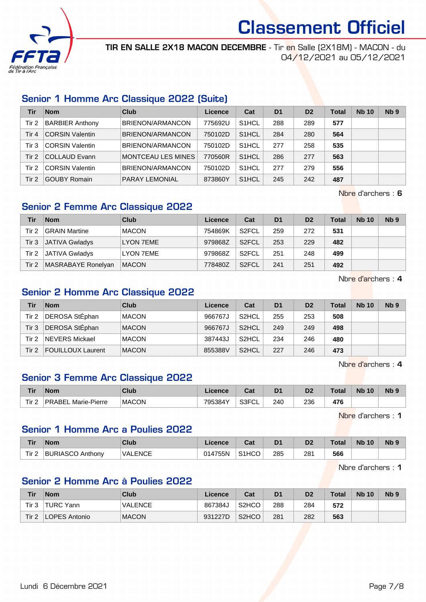

TIR EN SALLE 2X18 MACON DECEMBRE - Tir en Salle (2X18M) - MACON - du 04/12/2021 au 05/12/2021

## Senior 1 Homme Arc Classique 2022 (Suite)

| Tir   | <b>Nom</b>             | Club                    | Licence | Cat                | D <sub>1</sub> | D <sub>2</sub> | <b>Total</b> | <b>Nb 10</b> | Nb <sub>9</sub> |
|-------|------------------------|-------------------------|---------|--------------------|----------------|----------------|--------------|--------------|-----------------|
| Tir 2 | <b>BARBIER Anthony</b> | BRIENON/ARMANCON        | 775692U | S <sub>1</sub> HCL | 288            | 289            | 577          |              |                 |
| Tir 4 | <b>CORSIN Valentin</b> | <b>BRIENON/ARMANCON</b> | 750102D | S <sub>1</sub> HCL | 284            | 280            | 564          |              |                 |
| Tir 3 | <b>CORSIN Valentin</b> | BRIENON/ARMANCON        | 750102D | S <sub>1</sub> HCL | 277            | 258            | 535          |              |                 |
| Tir 2 | <b>COLLAUD Evann</b>   | MONTCEAU LES MINES      | 770560R | S <sub>1</sub> HCL | 286            | 277            | 563          |              |                 |
| Tir 2 | <b>CORSIN Valentin</b> | BRIENON/ARMANCON        | 750102D | S <sub>1</sub> HCL | 277            | 279            | 556          |              |                 |
| Tir 2 | <b>GOUBY Romain</b>    | <b>PARAY LEMONIAL</b>   | 873860Y | S <sub>1</sub> HCL | 245            | 242            | 487          |              |                 |

Nbre d'archers : 6

## Senior 2 Femme Arc Classique 2022

| Tir      | <b>Nom</b>            | Club             | Licence | Cat                | D <sub>1</sub> | D <sub>2</sub> | Total | <b>Nb 10</b> | Nb <sub>9</sub> |
|----------|-----------------------|------------------|---------|--------------------|----------------|----------------|-------|--------------|-----------------|
| Tir 2    | <b>GRAIN Martine</b>  | <b>MACON</b>     | 754869K | S <sub>2</sub> FCL | 259            | 272            | 531   |              |                 |
| $T$ ir 3 | <b>JATIVA Gwladys</b> | <b>LYON 7EME</b> | 979868Z | S2FCL              | 253            | 229            | 482   |              |                 |
| Tir 2    | <b>JATIVA Gwladys</b> | LYON 7EME        | 979868Z | S <sub>2</sub> FCL | 251            | 248            | 499   |              |                 |
| Tir 2    | MASRABAYE Ronelyan    | <b>MACON</b>     | 778480Z | S <sub>2</sub> FCL | 241            | 251            | 492   |              |                 |

Nbre d'archers : 4

### Senior 2 Homme Arc Classique 2022

| Tir      | <b>Nom</b>               | Club         | Licence | Cat                | D <sub>1</sub> | D <sub>2</sub> | <b>Total</b> | <b>Nb 10</b> | Nb <sub>9</sub> |
|----------|--------------------------|--------------|---------|--------------------|----------------|----------------|--------------|--------------|-----------------|
| Tir 2    | DEROSA StÉphan           | <b>MACON</b> | 966767J | S <sub>2</sub> HCL | 255            | 253            | 508          |              |                 |
| $T$ ir 3 | DEROSA StEphan           | <b>MACON</b> | 966767J | S <sub>2</sub> HCL | 249            | 249            | 498          |              |                 |
| Tir 2    | NEVERS Mickael           | <b>MACON</b> | 387443J | S <sub>2</sub> HCL | 234            | 246            | 480          |              |                 |
| Tir $21$ | <b>FOUILLOUX Laurent</b> | <b>MACON</b> | 855388V | S <sub>2</sub> HCL | 227            | 246            | 473          |              |                 |

Nbre d'archers : 4

## Senior 3 Femme Arc Classique 2022

| Tir              | <b>Nom</b>             | Club         | Licence | ◠⌒ィ<br>⊍aι                | D <sub>1</sub> | D <sub>2</sub> | Total | <b>N<sub>b</sub></b><br>10 | Nb <sub>9</sub> |
|------------------|------------------------|--------------|---------|---------------------------|----------------|----------------|-------|----------------------------|-----------------|
| Tir <sub>2</sub> | Marie-Pierre<br>PRABEL | <b>MACON</b> | 795384Y | <b>SSEUI</b><br>◡∟<br>⊤טכ | 240<br>____    | 236<br>__      | 476   |                            |                 |

Nbre d'archers : 1

## Senior 1 Homme Arc a Poulies 2022

| Tir              | <b>Nom</b>              | Club           | Licence | $\sim$<br>Jai      | D <sub>1</sub> | D <sub>2</sub> | Total | <b>Nb</b><br>10 | N <sub>b</sub> <sub>9</sub> |
|------------------|-------------------------|----------------|---------|--------------------|----------------|----------------|-------|-----------------|-----------------------------|
| Tir <sub>2</sub> | <b>BURIASCO Anthony</b> | <b>VALENCE</b> | 014755N | S <sub>1</sub> HCO | 285            | 281            | 566   |                 |                             |

Nbre d'archers : 1

#### Senior 2 Homme Arc à Poulies 2022

| <b>Tir</b> | <b>Nom</b>           | <b>Club</b>    | Licence | Cat                | D <sub>1</sub> | D2  | <b>Total</b> | <b>Nb 10</b> | N <sub>b</sub> <sub>9</sub> |
|------------|----------------------|----------------|---------|--------------------|----------------|-----|--------------|--------------|-----------------------------|
| Tir 3      | TURC Yann            | <b>VALENCE</b> | 867384J | S <sub>2</sub> HCO | 288            | 284 | 572          |              |                             |
| Tir $21$   | <b>LOPES Antonio</b> | <b>MACON</b>   | 931227D | S <sub>2</sub> HCO | 281            | 282 | 563          |              |                             |